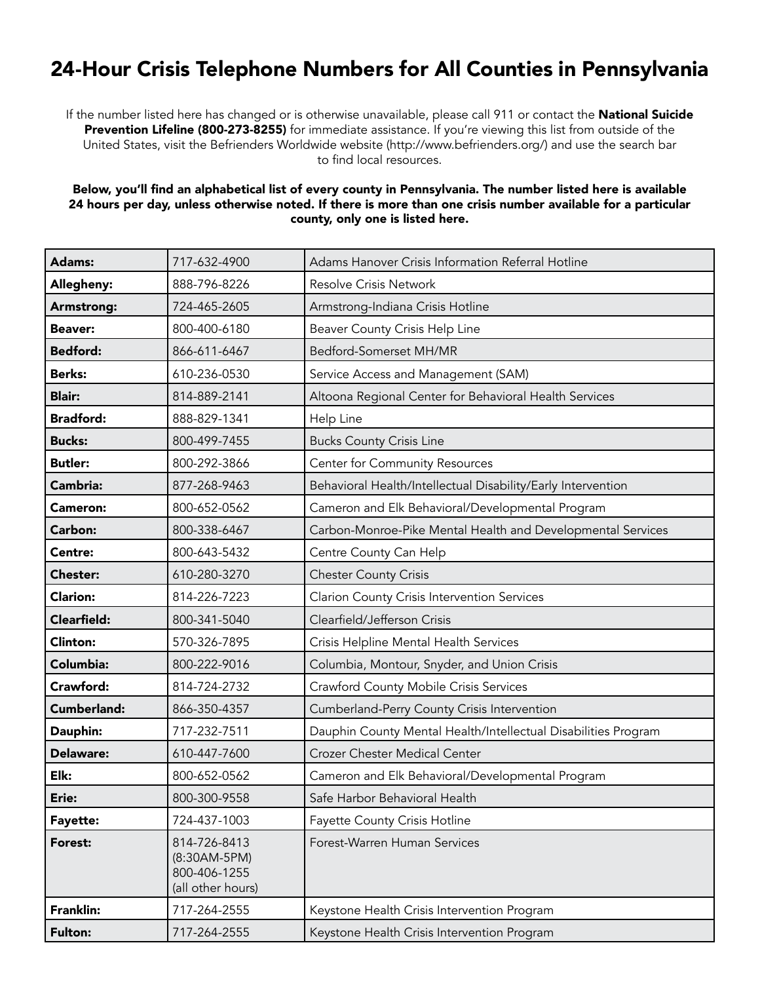## 24-Hour Crisis Telephone Numbers for All Counties in Pennsylvania

If the number listed here has changed or is otherwise unavailable, please call 911 or contact the National Suicide Prevention Lifeline (800-273-8255) for immediate assistance. If you're viewing this list from outside of the United States, visit the Befrienders Worldwide website (http://www.befrienders.org/) and use the search bar to find local resources.

## Below, you'll find an alphabetical list of every county in Pennsylvania. The number listed here is available 24 hours per day, unless otherwise noted. If there is more than one crisis number available for a particular county, only one is listed here.

| Adams:             | 717-632-4900                                                      | Adams Hanover Crisis Information Referral Hotline              |
|--------------------|-------------------------------------------------------------------|----------------------------------------------------------------|
| Allegheny:         | 888-796-8226                                                      | <b>Resolve Crisis Network</b>                                  |
| Armstrong:         | 724-465-2605                                                      | Armstrong-Indiana Crisis Hotline                               |
| <b>Beaver:</b>     | 800-400-6180                                                      | Beaver County Crisis Help Line                                 |
| <b>Bedford:</b>    | 866-611-6467                                                      | Bedford-Somerset MH/MR                                         |
| <b>Berks:</b>      | 610-236-0530                                                      | Service Access and Management (SAM)                            |
| <b>Blair:</b>      | 814-889-2141                                                      | Altoona Regional Center for Behavioral Health Services         |
| <b>Bradford:</b>   | 888-829-1341                                                      | Help Line                                                      |
| <b>Bucks:</b>      | 800-499-7455                                                      | <b>Bucks County Crisis Line</b>                                |
| <b>Butler:</b>     | 800-292-3866                                                      | Center for Community Resources                                 |
| Cambria:           | 877-268-9463                                                      | Behavioral Health/Intellectual Disability/Early Intervention   |
| <b>Cameron:</b>    | 800-652-0562                                                      | Cameron and Elk Behavioral/Developmental Program               |
| Carbon:            | 800-338-6467                                                      | Carbon-Monroe-Pike Mental Health and Developmental Services    |
| Centre:            | 800-643-5432                                                      | Centre County Can Help                                         |
| Chester:           | 610-280-3270                                                      | <b>Chester County Crisis</b>                                   |
| <b>Clarion:</b>    | 814-226-7223                                                      | <b>Clarion County Crisis Intervention Services</b>             |
| <b>Clearfield:</b> | 800-341-5040                                                      | Clearfield/Jefferson Crisis                                    |
| <b>Clinton:</b>    | 570-326-7895                                                      | Crisis Helpline Mental Health Services                         |
| Columbia:          | 800-222-9016                                                      | Columbia, Montour, Snyder, and Union Crisis                    |
| Crawford:          | 814-724-2732                                                      | <b>Crawford County Mobile Crisis Services</b>                  |
| Cumberland:        | 866-350-4357                                                      | Cumberland-Perry County Crisis Intervention                    |
| Dauphin:           | 717-232-7511                                                      | Dauphin County Mental Health/Intellectual Disabilities Program |
| Delaware:          | 610-447-7600                                                      | Crozer Chester Medical Center                                  |
| Elk:               | 800-652-0562                                                      | Cameron and Elk Behavioral/Developmental Program               |
| Erie:              | 800-300-9558                                                      | Safe Harbor Behavioral Health                                  |
| Fayette:           | 724-437-1003                                                      | Fayette County Crisis Hotline                                  |
| Forest:            | 814-726-8413<br>(8:30AM-5PM)<br>800-406-1255<br>(all other hours) | Forest-Warren Human Services                                   |
| <b>Franklin:</b>   | 717-264-2555                                                      | Keystone Health Crisis Intervention Program                    |
| <b>Fulton:</b>     | 717-264-2555                                                      | Keystone Health Crisis Intervention Program                    |